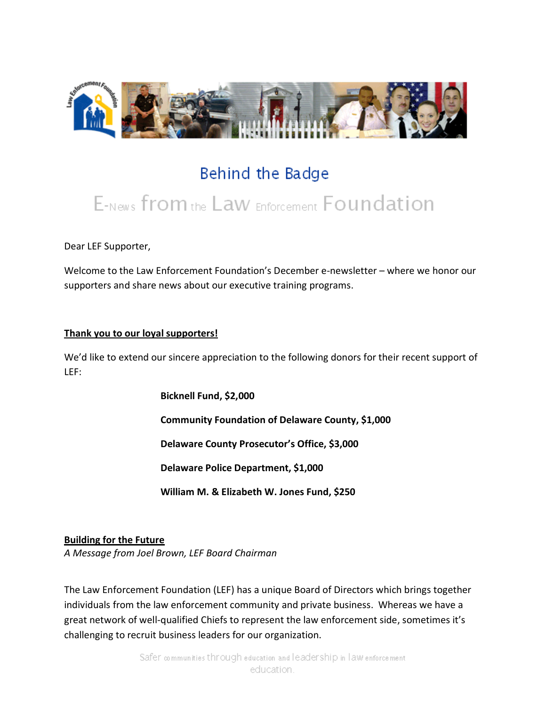

# Behind the Badge E-News from the Law Enforcement Foundation

Dear LEF Supporter,

Welcome to the Law Enforcement Foundation's December e-newsletter – where we honor our supporters and share news about our executive training programs.

#### **Thank you to our loyal supporters!**

We'd like to extend our sincere appreciation to the following donors for their recent support of LEF:

> **Bicknell Fund, \$2,000 Community Foundation of Delaware County, \$1,000 Delaware County Prosecutor's Office, \$3,000 Delaware Police Department, \$1,000 William M. & Elizabeth W. Jones Fund, \$250**

**Building for the Future**

*A Message from Joel Brown, LEF Board Chairman*

The Law Enforcement Foundation (LEF) has a unique Board of Directors which brings together individuals from the law enforcement community and private business. Whereas we have a great network of well-qualified Chiefs to represent the law enforcement side, sometimes it's challenging to recruit business leaders for our organization.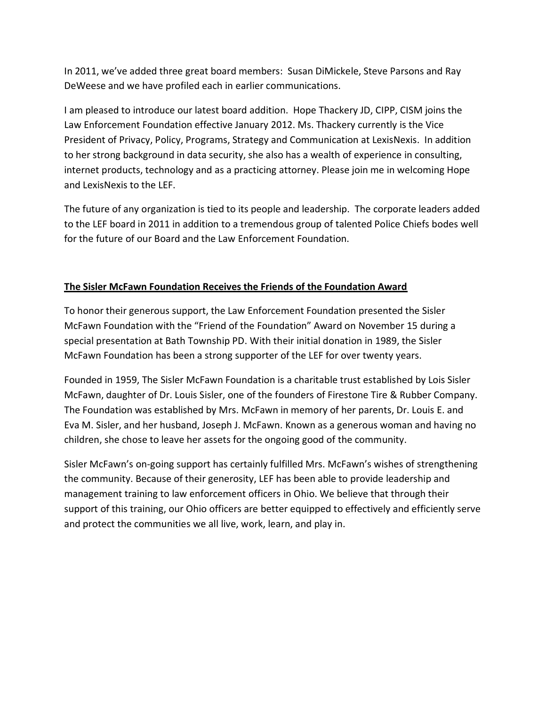In 2011, we've added three great board members: Susan DiMickele, Steve Parsons and Ray DeWeese and we have profiled each in earlier communications.

I am pleased to introduce our latest board addition. Hope Thackery JD, CIPP, CISM joins the Law Enforcement Foundation effective January 2012. Ms. Thackery currently is the Vice President of Privacy, Policy, Programs, Strategy and Communication at LexisNexis. In addition to her strong background in data security, she also has a wealth of experience in consulting, internet products, technology and as a practicing attorney. Please join me in welcoming Hope and LexisNexis to the LEF.

The future of any organization is tied to its people and leadership. The corporate leaders added to the LEF board in 2011 in addition to a tremendous group of talented Police Chiefs bodes well for the future of our Board and the Law Enforcement Foundation.

## **The Sisler McFawn Foundation Receives the Friends of the Foundation Award**

To honor their generous support, the Law Enforcement Foundation presented the Sisler McFawn Foundation with the "Friend of the Foundation" Award on November 15 during a special presentation at Bath Township PD. With their initial donation in 1989, the Sisler McFawn Foundation has been a strong supporter of the LEF for over twenty years.

Founded in 1959, The Sisler McFawn Foundation is a charitable trust established by Lois Sisler McFawn, daughter of Dr. Louis Sisler, one of the founders of Firestone Tire & Rubber Company. The Foundation was established by Mrs. McFawn in memory of her parents, Dr. Louis E. and Eva M. Sisler, and her husband, Joseph J. McFawn. Known as a generous woman and having no children, she chose to leave her assets for the ongoing good of the community.

Sisler McFawn's on-going support has certainly fulfilled Mrs. McFawn's wishes of strengthening the community. Because of their generosity, LEF has been able to provide leadership and management training to law enforcement officers in Ohio. We believe that through their support of this training, our Ohio officers are better equipped to effectively and efficiently serve and protect the communities we all live, work, learn, and play in.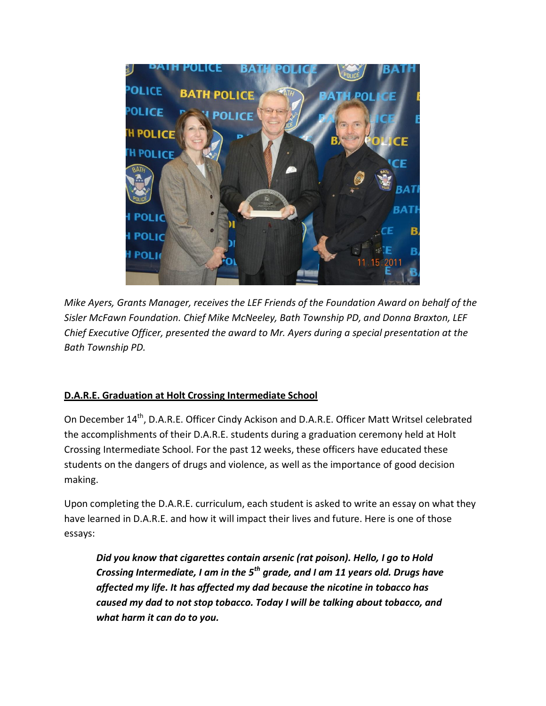

*Mike Ayers, Grants Manager, receives the LEF Friends of the Foundation Award on behalf of the Sisler McFawn Foundation. Chief Mike McNeeley, Bath Township PD, and Donna Braxton, LEF Chief Executive Officer, presented the award to Mr. Ayers during a special presentation at the Bath Township PD.*

#### **D.A.R.E. Graduation at Holt Crossing Intermediate School**

On December 14<sup>th</sup>, D.A.R.E. Officer Cindy Ackison and D.A.R.E. Officer Matt Writsel celebrated the accomplishments of their D.A.R.E. students during a graduation ceremony held at Holt Crossing Intermediate School. For the past 12 weeks, these officers have educated these students on the dangers of drugs and violence, as well as the importance of good decision making.

Upon completing the D.A.R.E. curriculum, each student is asked to write an essay on what they have learned in D.A.R.E. and how it will impact their lives and future. Here is one of those essays:

*Did you know that cigarettes contain arsenic (rat poison). Hello, I go to Hold Crossing Intermediate, I am in the 5th grade, and I am 11 years old. Drugs have affected my life. It has affected my dad because the nicotine in tobacco has caused my dad to not stop tobacco. Today I will be talking about tobacco, and what harm it can do to you.*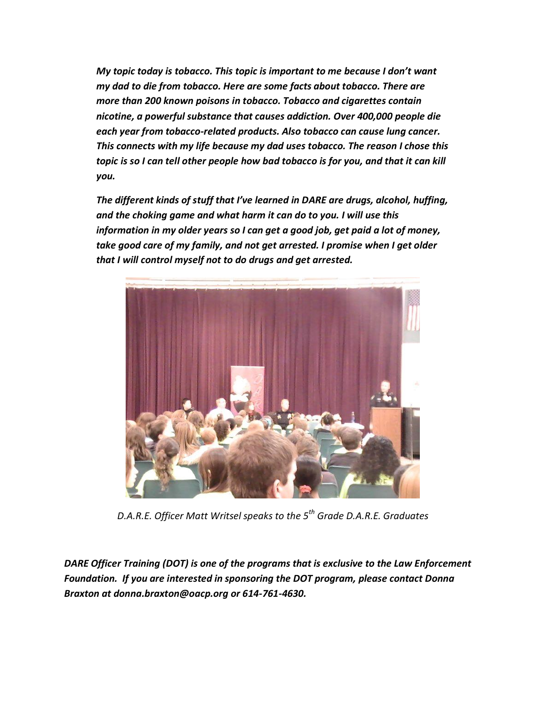*My topic today is tobacco. This topic is important to me because I don't want my dad to die from tobacco. Here are some facts about tobacco. There are more than 200 known poisons in tobacco. Tobacco and cigarettes contain nicotine, a powerful substance that causes addiction. Over 400,000 people die each year from tobacco-related products. Also tobacco can cause lung cancer. This connects with my life because my dad uses tobacco. The reason I chose this topic is so I can tell other people how bad tobacco is for you, and that it can kill you.*

*The different kinds of stuff that I've learned in DARE are drugs, alcohol, huffing, and the choking game and what harm it can do to you. I will use this information in my older years so I can get a good job, get paid a lot of money, take good care of my family, and not get arrested. I promise when I get older that I will control myself not to do drugs and get arrested.*



*D.A.R.E. Officer Matt Writsel speaks to the 5th Grade D.A.R.E. Graduates*

*DARE Officer Training (DOT) is one of the programs that is exclusive to the Law Enforcement Foundation. If you are interested in sponsoring the DOT program, please contact Donna Braxton at donna.braxton@oacp.org or 614-761-4630.*